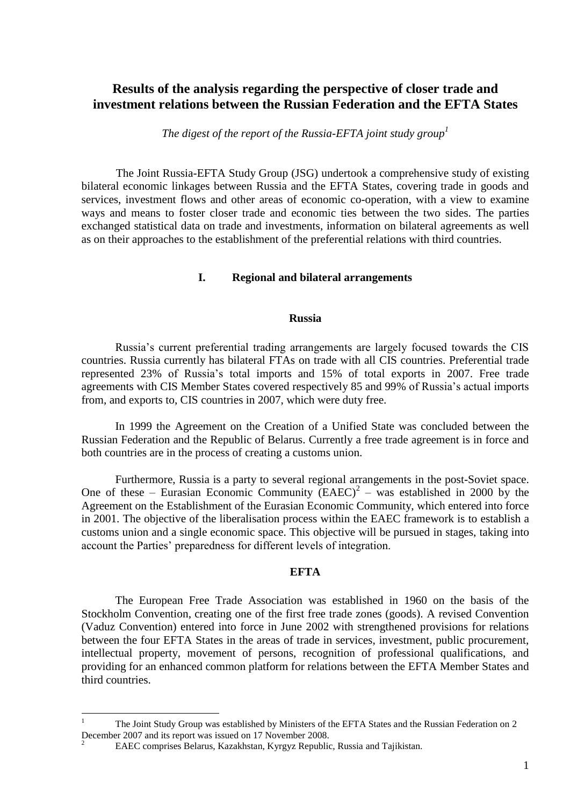# **Results of the analysis regarding the perspective of closer trade and investment relations between the Russian Federation and the EFTA States**

*The digest of the report of the Russia-EFTA joint study group<sup>1</sup>*

The Joint Russia-EFTA Study Group (JSG) undertook a comprehensive study of existing bilateral economic linkages between Russia and the EFTA States, covering trade in goods and services, investment flows and other areas of economic co-operation, with a view to examine ways and means to foster closer trade and economic ties between the two sides. The parties exchanged statistical data on trade and investments, information on bilateral agreements as well as on their approaches to the establishment of the preferential relations with third countries.

## **I. Regional and bilateral arrangements**

#### **Russia**

Russia's current preferential trading arrangements are largely focused towards the CIS countries. Russia currently has bilateral FTAs on trade with all CIS countries. Preferential trade represented 23% of Russia's total imports and 15% of total exports in 2007. Free trade agreements with CIS Member States covered respectively 85 and 99% of Russia's actual imports from, and exports to, CIS countries in 2007, which were duty free.

In 1999 the Agreement on the Creation of a Unified State was concluded between the Russian Federation and the Republic of Belarus. Currently a free trade agreement is in force and both countries are in the process of creating a customs union.

Furthermore, Russia is a party to several regional arrangements in the post-Soviet space. One of these – Eurasian Economic Community  $(EAEC)^2$  – was established in 2000 by the Agreement on the Establishment of the Eurasian Economic Community, which entered into force in 2001. The objective of the liberalisation process within the EAEC framework is to establish a customs union and a single economic space. This objective will be pursued in stages, taking into account the Parties' preparedness for different levels of integration.

# **EFTA**

The European Free Trade Association was established in 1960 on the basis of the Stockholm Convention, creating one of the first free trade zones (goods). A revised Convention (Vaduz Convention) entered into force in June 2002 with strengthened provisions for relations between the four EFTA States in the areas of trade in services, investment, public procurement, intellectual property, movement of persons, recognition of professional qualifications, and providing for an enhanced common platform for relations between the EFTA Member States and third countries.

 $\mathbf{1}$ <sup>1</sup> The Joint Study Group was established by Ministers of the EFTA States and the Russian Federation on 2 December 2007 and its report was issued on 17 November 2008.

<sup>2</sup> EAEC comprises Belarus, Kazakhstan, Kyrgyz Republic, Russia and Tajikistan.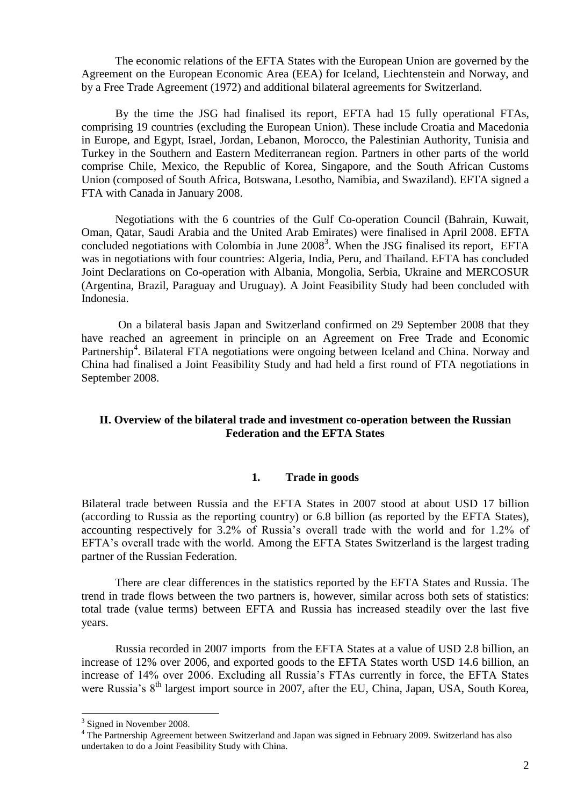The economic relations of the EFTA States with the European Union are governed by the Agreement on the European Economic Area (EEA) for Iceland, Liechtenstein and Norway, and by a Free Trade Agreement (1972) and additional bilateral agreements for Switzerland.

By the time the JSG had finalised its report, EFTA had 15 fully operational FTAs, comprising 19 countries (excluding the European Union). These include Croatia and Macedonia in Europe, and Egypt, Israel, Jordan, Lebanon, Morocco, the Palestinian Authority, Tunisia and Turkey in the Southern and Eastern Mediterranean region. Partners in other parts of the world comprise Chile, Mexico, the Republic of Korea, Singapore, and the South African Customs Union (composed of South Africa, Botswana, Lesotho, Namibia, and Swaziland). EFTA signed a FTA with Canada in January 2008.

Negotiations with the 6 countries of the Gulf Co-operation Council (Bahrain, Kuwait, Oman, Qatar, Saudi Arabia and the United Arab Emirates) were finalised in April 2008. EFTA concluded negotiations with Colombia in June 2008<sup>3</sup>. When the JSG finalised its report, EFTA was in negotiations with four countries: Algeria, India, Peru, and Thailand. EFTA has concluded Joint Declarations on Co-operation with Albania, Mongolia, Serbia, Ukraine and MERCOSUR (Argentina, Brazil, Paraguay and Uruguay). A Joint Feasibility Study had been concluded with Indonesia.

On a bilateral basis Japan and Switzerland confirmed on 29 September 2008 that they have reached an agreement in principle on an Agreement on Free Trade and Economic Partnership<sup>4</sup>. Bilateral FTA negotiations were ongoing between Iceland and China. Norway and China had finalised a Joint Feasibility Study and had held a first round of FTA negotiations in September 2008.

## **II. Overview of the bilateral trade and investment co-operation between the Russian Federation and the EFTA States**

# **1. Trade in goods**

Bilateral trade between Russia and the EFTA States in 2007 stood at about USD 17 billion (according to Russia as the reporting country) or 6.8 billion (as reported by the EFTA States), accounting respectively for 3.2% of Russia's overall trade with the world and for 1.2% of EFTA's overall trade with the world. Among the EFTA States Switzerland is the largest trading partner of the Russian Federation.

There are clear differences in the statistics reported by the EFTA States and Russia. The trend in trade flows between the two partners is, however, similar across both sets of statistics: total trade (value terms) between EFTA and Russia has increased steadily over the last five years.

Russia recorded in 2007 imports from the EFTA States at a value of USD 2.8 billion, an increase of 12% over 2006, and exported goods to the EFTA States worth USD 14.6 billion, an increase of 14% over 2006. Excluding all Russia's FTAs currently in force, the EFTA States were Russia's 8<sup>th</sup> largest import source in 2007, after the EU, China, Japan, USA, South Korea,

<u>.</u>

<sup>&</sup>lt;sup>3</sup> Signed in November 2008.

<sup>&</sup>lt;sup>4</sup> The Partnership Agreement between Switzerland and Japan was signed in February 2009. Switzerland has also undertaken to do a Joint Feasibility Study with China.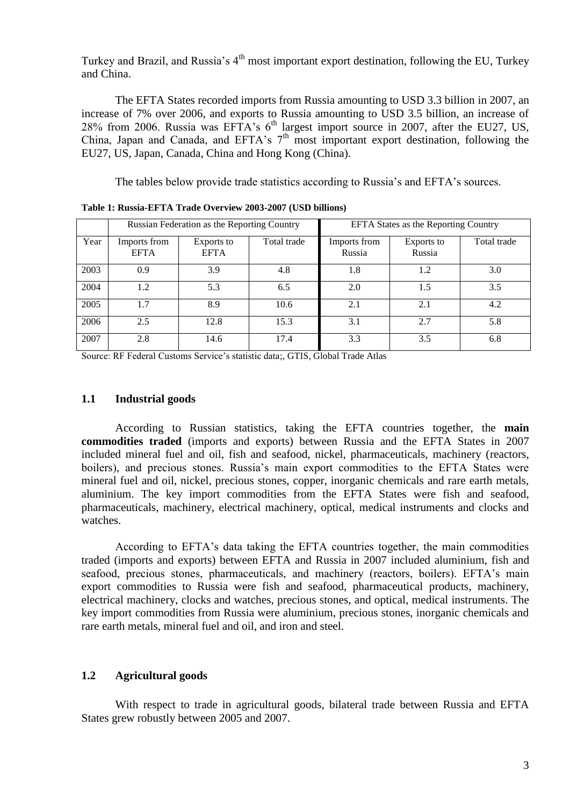Turkey and Brazil, and Russia's  $4<sup>th</sup>$  most important export destination, following the EU, Turkey and China.

The EFTA States recorded imports from Russia amounting to USD 3.3 billion in 2007, an increase of 7% over 2006, and exports to Russia amounting to USD 3.5 billion, an increase of 28% from 2006. Russia was EFTA's  $6<sup>th</sup>$  largest import source in 2007, after the EU27, US, China, Japan and Canada, and EFTA's  $7<sup>th</sup>$  most important export destination, following the EU27, US, Japan, Canada, China and Hong Kong (China).

The tables below provide trade statistics according to Russia's and EFTA's sources.

|      | Russian Federation as the Reporting Country |                           |             | <b>EFTA States as the Reporting Country</b> |                      |             |
|------|---------------------------------------------|---------------------------|-------------|---------------------------------------------|----------------------|-------------|
| Year | Imports from<br><b>EFTA</b>                 | Exports to<br><b>EFTA</b> | Total trade | Imports from<br>Russia                      | Exports to<br>Russia | Total trade |
| 2003 | 0.9                                         | 3.9                       | 4.8         | 1.8                                         | 1.2                  | 3.0         |
| 2004 | 1.2                                         | 5.3                       | 6.5         | 2.0                                         | 1.5                  | 3.5         |
| 2005 | 1.7                                         | 8.9                       | 10.6        | 2.1                                         | 2.1                  | 4.2         |
| 2006 | 2.5                                         | 12.8                      | 15.3        | 3.1                                         | 2.7                  | 5.8         |
| 2007 | 2.8                                         | 14.6                      | 17.4        | 3.3                                         | 3.5                  | 6.8         |

**Table 1: Russia-EFTA Trade Overview 2003-2007 (USD billions)**

Source: RF Federal Customs Service's statistic data;, GTIS, Global Trade Atlas

### **1.1 Industrial goods**

According to Russian statistics, taking the EFTA countries together, the **main commodities traded** (imports and exports) between Russia and the EFTA States in 2007 included mineral fuel and oil, fish and seafood, nickel, pharmaceuticals, machinery (reactors, boilers), and precious stones. Russia's main export commodities to the EFTA States were mineral fuel and oil, nickel, precious stones, copper, inorganic chemicals and rare earth metals, aluminium. The key import commodities from the EFTA States were fish and seafood, pharmaceuticals, machinery, electrical machinery, optical, medical instruments and clocks and watches.

According to EFTA's data taking the EFTA countries together, the main commodities traded (imports and exports) between EFTA and Russia in 2007 included aluminium, fish and seafood, precious stones, pharmaceuticals, and machinery (reactors, boilers). EFTA's main export commodities to Russia were fish and seafood, pharmaceutical products, machinery, electrical machinery, clocks and watches, precious stones, and optical, medical instruments. The key import commodities from Russia were aluminium, precious stones, inorganic chemicals and rare earth metals, mineral fuel and oil, and iron and steel.

## **1.2 Agricultural goods**

With respect to trade in agricultural goods, bilateral trade between Russia and EFTA States grew robustly between 2005 and 2007.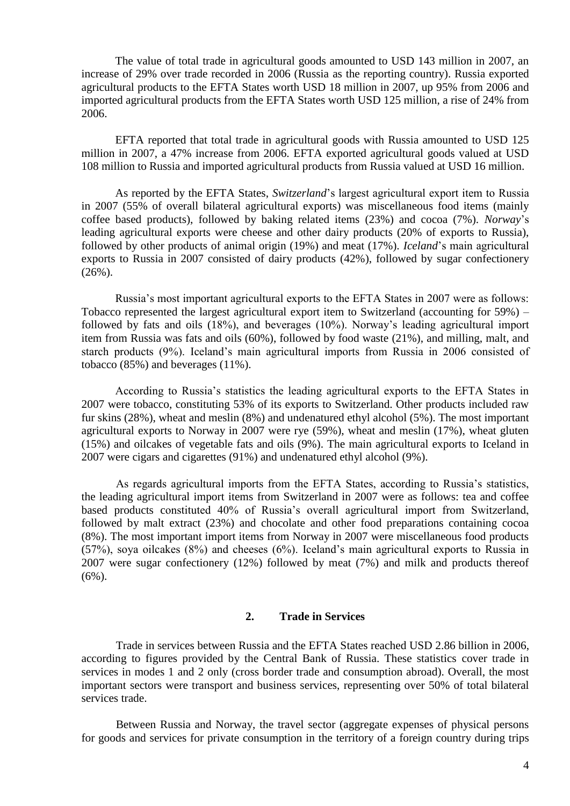The value of total trade in agricultural goods amounted to USD 143 million in 2007, an increase of 29% over trade recorded in 2006 (Russia as the reporting country). Russia exported agricultural products to the EFTA States worth USD 18 million in 2007, up 95% from 2006 and imported agricultural products from the EFTA States worth USD 125 million, a rise of 24% from 2006.

EFTA reported that total trade in agricultural goods with Russia amounted to USD 125 million in 2007, a 47% increase from 2006. EFTA exported agricultural goods valued at USD 108 million to Russia and imported agricultural products from Russia valued at USD 16 million.

As reported by the EFTA States, *Switzerland*'s largest agricultural export item to Russia in 2007 (55% of overall bilateral agricultural exports) was miscellaneous food items (mainly coffee based products), followed by baking related items (23%) and cocoa (7%). *Norway*'s leading agricultural exports were cheese and other dairy products (20% of exports to Russia), followed by other products of animal origin (19%) and meat (17%). *Iceland*'s main agricultural exports to Russia in 2007 consisted of dairy products (42%), followed by sugar confectionery (26%).

Russia's most important agricultural exports to the EFTA States in 2007 were as follows: Tobacco represented the largest agricultural export item to Switzerland (accounting for 59%) – followed by fats and oils (18%), and beverages (10%). Norway's leading agricultural import item from Russia was fats and oils (60%), followed by food waste (21%), and milling, malt, and starch products (9%). Iceland's main agricultural imports from Russia in 2006 consisted of tobacco (85%) and beverages (11%).

According to Russia's statistics the leading agricultural exports to the EFTA States in 2007 were tobacco, constituting 53% of its exports to Switzerland. Other products included raw fur skins (28%), wheat and meslin (8%) and undenatured ethyl alcohol (5%). The most important agricultural exports to Norway in 2007 were rye (59%), wheat and meslin (17%), wheat gluten (15%) and oilcakes of vegetable fats and oils (9%). The main agricultural exports to Iceland in 2007 were cigars and cigarettes (91%) and undenatured ethyl alcohol (9%).

As regards agricultural imports from the EFTA States, according to Russia's statistics, the leading agricultural import items from Switzerland in 2007 were as follows: tea and coffee based products constituted 40% of Russia's overall agricultural import from Switzerland, followed by malt extract (23%) and chocolate and other food preparations containing cocoa (8%). The most important import items from Norway in 2007 were miscellaneous food products (57%), soya oilcakes (8%) and cheeses (6%). Iceland's main agricultural exports to Russia in 2007 were sugar confectionery (12%) followed by meat (7%) and milk and products thereof  $(6\%)$ .

## **2. Trade in Services**

Trade in services between Russia and the EFTA States reached USD 2.86 billion in 2006, according to figures provided by the Central Bank of Russia. These statistics cover trade in services in modes 1 and 2 only (cross border trade and consumption abroad). Overall, the most important sectors were transport and business services, representing over 50% of total bilateral services trade.

Between Russia and Norway, the travel sector (aggregate expenses of physical persons for goods and services for private consumption in the territory of a foreign country during trips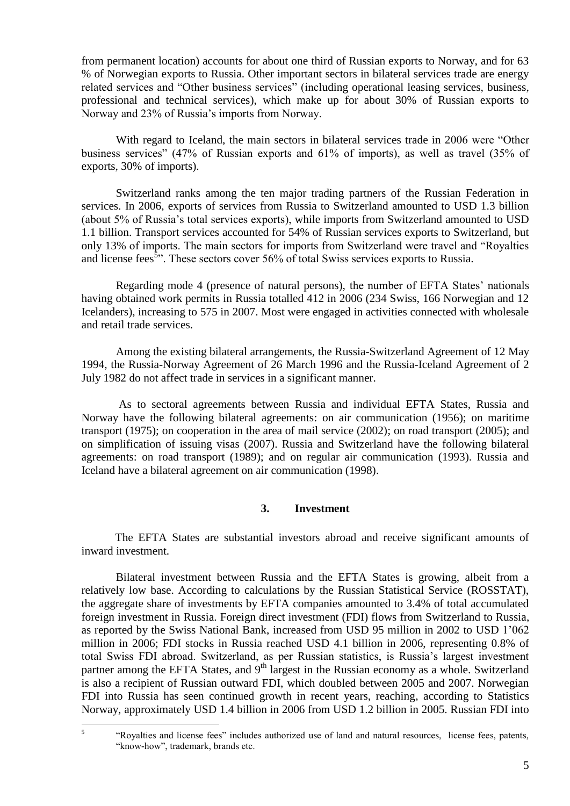from permanent location) accounts for about one third of Russian exports to Norway, and for 63 % of Norwegian exports to Russia. Other important sectors in bilateral services trade are energy related services and "Other business services" (including operational leasing services, business, professional and technical services), which make up for about 30% of Russian exports to Norway and 23% of Russia's imports from Norway.

With regard to Iceland, the main sectors in bilateral services trade in 2006 were "Other business services" (47% of Russian exports and 61% of imports), as well as travel (35% of exports, 30% of imports).

Switzerland ranks among the ten major trading partners of the Russian Federation in services. In 2006, exports of services from Russia to Switzerland amounted to USD 1.3 billion (about 5% of Russia's total services exports), while imports from Switzerland amounted to USD 1.1 billion. Transport services accounted for 54% of Russian services exports to Switzerland, but only 13% of imports. The main sectors for imports from Switzerland were travel and "Royalties and license fees<sup>5</sup><sup>5</sup>. These sectors cover 56% of total Swiss services exports to Russia.

Regarding mode 4 (presence of natural persons), the number of EFTA States' nationals having obtained work permits in Russia totalled 412 in 2006 (234 Swiss, 166 Norwegian and 12 Icelanders), increasing to 575 in 2007. Most were engaged in activities connected with wholesale and retail trade services.

Among the existing bilateral arrangements, the Russia-Switzerland Agreement of 12 May 1994, the Russia-Norway Agreement of 26 March 1996 and the Russia-Iceland Agreement of 2 July 1982 do not affect trade in services in a significant manner.

As to sectoral agreements between Russia and individual EFTA States, Russia and Norway have the following bilateral agreements: on air communication (1956); on maritime transport (1975); on cooperation in the area of mail service (2002); on road transport (2005); and on simplification of issuing visas (2007). Russia and Switzerland have the following bilateral agreements: on road transport (1989); and on regular air communication (1993). Russia and Iceland have a bilateral agreement on air communication (1998).

## **3. Investment**

The EFTA States are substantial investors abroad and receive significant amounts of inward investment.

Bilateral investment between Russia and the EFTA States is growing, albeit from a relatively low base. According to calculations by the Russian Statistical Service (ROSSTAT), the aggregate share of investments by EFTA companies amounted to 3.4% of total accumulated foreign investment in Russia. Foreign direct investment (FDI) flows from Switzerland to Russia, as reported by the Swiss National Bank, increased from USD 95 million in 2002 to USD 1'062 million in 2006; FDI stocks in Russia reached USD 4.1 billion in 2006, representing 0.8% of total Swiss FDI abroad. Switzerland, as per Russian statistics, is Russia's largest investment partner among the EFTA States, and 9<sup>th</sup> largest in the Russian economy as a whole. Switzerland is also a recipient of Russian outward FDI, which doubled between 2005 and 2007. Norwegian FDI into Russia has seen continued growth in recent years, reaching, according to Statistics Norway, approximately USD 1.4 billion in 2006 from USD 1.2 billion in 2005. Russian FDI into

 $\frac{1}{5}$ "Royalties and license fees" includes authorized use of land and natural resources, license fees, patents, "know-how", trademark, brands etc.